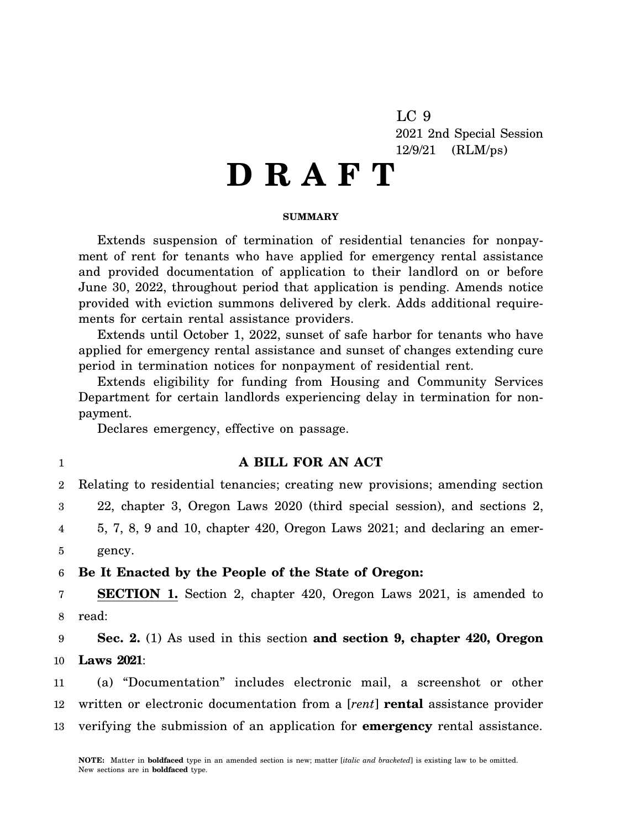LC 9 2021 2nd Special Session 12/9/21 (RLM/ps)

# **D R A F T**

### **SUMMARY**

Extends suspension of termination of residential tenancies for nonpayment of rent for tenants who have applied for emergency rental assistance and provided documentation of application to their landlord on or before June 30, 2022, throughout period that application is pending. Amends notice provided with eviction summons delivered by clerk. Adds additional requirements for certain rental assistance providers.

Extends until October 1, 2022, sunset of safe harbor for tenants who have applied for emergency rental assistance and sunset of changes extending cure period in termination notices for nonpayment of residential rent.

Extends eligibility for funding from Housing and Community Services Department for certain landlords experiencing delay in termination for nonpayment.

Declares emergency, effective on passage.

1

## **A BILL FOR AN ACT**

2 3 4 5 Relating to residential tenancies; creating new provisions; amending section 22, chapter 3, Oregon Laws 2020 (third special session), and sections 2, 5, 7, 8, 9 and 10, chapter 420, Oregon Laws 2021; and declaring an emergency.

#### 6 **Be It Enacted by the People of the State of Oregon:**

7 8 **SECTION 1.** Section 2, chapter 420, Oregon Laws 2021, is amended to read:

9 10 **Sec. 2.** (1) As used in this section **and section 9, chapter 420, Oregon Laws 2021**:

11 12 13 (a) "Documentation" includes electronic mail, a screenshot or other written or electronic documentation from a [*rent*] **rental** assistance provider verifying the submission of an application for **emergency** rental assistance.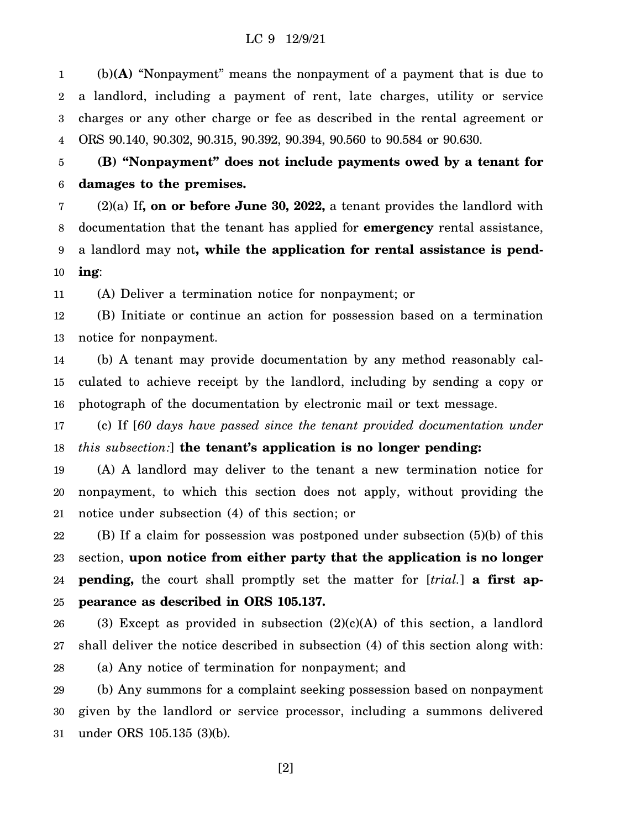1 2 3 4 (b)**(A)** "Nonpayment" means the nonpayment of a payment that is due to a landlord, including a payment of rent, late charges, utility or service charges or any other charge or fee as described in the rental agreement or ORS 90.140, 90.302, 90.315, 90.392, 90.394, 90.560 to 90.584 or 90.630.

5 6 **(B) "Nonpayment" does not include payments owed by a tenant for damages to the premises.**

7 8 9 10 (2)(a) If**, on or before June 30, 2022,** a tenant provides the landlord with documentation that the tenant has applied for **emergency** rental assistance, a landlord may not**, while the application for rental assistance is pending**:

11 (A) Deliver a termination notice for nonpayment; or

12 13 (B) Initiate or continue an action for possession based on a termination notice for nonpayment.

14 15 16 (b) A tenant may provide documentation by any method reasonably calculated to achieve receipt by the landlord, including by sending a copy or photograph of the documentation by electronic mail or text message.

17 18 (c) If [*60 days have passed since the tenant provided documentation under this subsection:*] **the tenant's application is no longer pending:**

19 20 21 (A) A landlord may deliver to the tenant a new termination notice for nonpayment, to which this section does not apply, without providing the notice under subsection (4) of this section; or

22 23 24 25 (B) If a claim for possession was postponed under subsection (5)(b) of this section, **upon notice from either party that the application is no longer pending,** the court shall promptly set the matter for [*trial.*] **a first appearance as described in ORS 105.137.**

26 27 28 (3) Except as provided in subsection  $(2)(c)(A)$  of this section, a landlord shall deliver the notice described in subsection (4) of this section along with: (a) Any notice of termination for nonpayment; and

29 30 31 (b) Any summons for a complaint seeking possession based on nonpayment given by the landlord or service processor, including a summons delivered under ORS 105.135 (3)(b).

[2]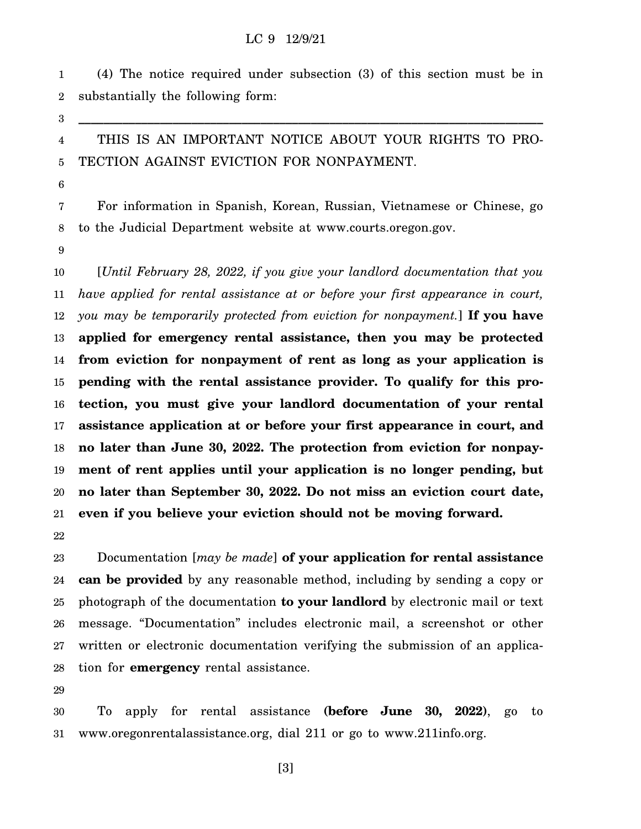## LC 9 12/9/21

1 2 (4) The notice required under subsection (3) of this section must be in substantially the following form:

3

4 5 THIS IS AN IMPORTANT NOTICE ABOUT YOUR RIGHTS TO PRO-TECTION AGAINST EVICTION FOR NONPAYMENT.

**\_\_\_\_\_\_\_\_\_\_\_\_\_\_\_\_\_\_\_\_\_\_\_\_\_\_\_\_\_\_\_\_\_\_\_\_\_\_\_\_\_\_\_\_\_\_\_\_\_\_\_\_\_\_\_\_\_\_\_\_\_\_\_\_\_\_\_\_\_\_\_\_\_\_**

6

7 8 For information in Spanish, Korean, Russian, Vietnamese or Chinese, go to the Judicial Department website at www.courts.oregon.gov.

9

10 11 12 13 14 15 16 17 18 19 20 21 [*Until February 28, 2022, if you give your landlord documentation that you have applied for rental assistance at or before your first appearance in court, you may be temporarily protected from eviction for nonpayment.*] **If you have applied for emergency rental assistance, then you may be protected from eviction for nonpayment of rent as long as your application is pending with the rental assistance provider. To qualify for this protection, you must give your landlord documentation of your rental assistance application at or before your first appearance in court, and no later than June 30, 2022. The protection from eviction for nonpayment of rent applies until your application is no longer pending, but no later than September 30, 2022. Do not miss an eviction court date, even if you believe your eviction should not be moving forward.**

22

23 24 25 26 27 28 Documentation [*may be made*] **of your application for rental assistance can be provided** by any reasonable method, including by sending a copy or photograph of the documentation **to your landlord** by electronic mail or text message. "Documentation" includes electronic mail, a screenshot or other written or electronic documentation verifying the submission of an application for **emergency** rental assistance.

29

30 31 To apply for rental assistance **(before June 30, 2022)**, go to www.oregonrentalassistance.org, dial 211 or go to www.211info.org.

[3]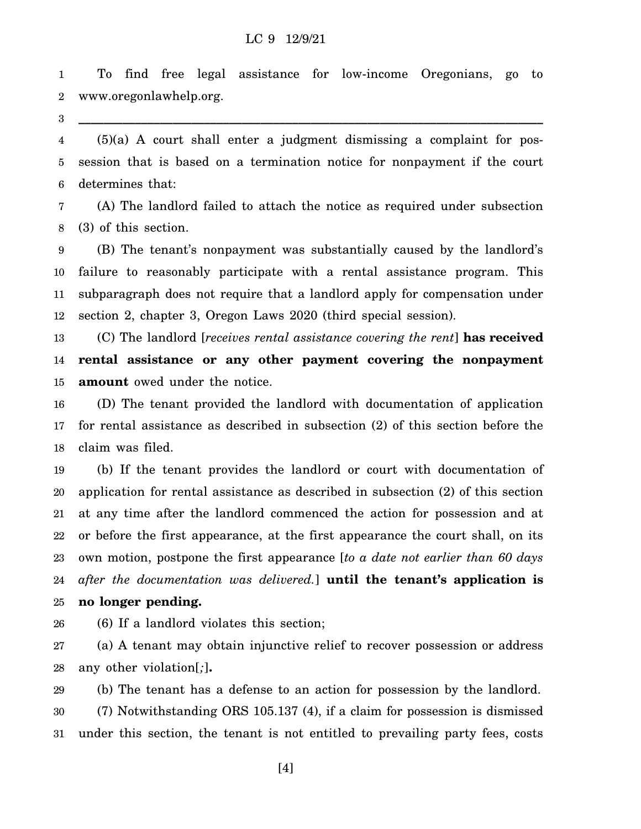## LC 9 12/9/21

1 2 To find free legal assistance for low-income Oregonians, go to www.oregonlawhelp.org.

**\_\_\_\_\_\_\_\_\_\_\_\_\_\_\_\_\_\_\_\_\_\_\_\_\_\_\_\_\_\_\_\_\_\_\_\_\_\_\_\_\_\_\_\_\_\_\_\_\_\_\_\_\_\_\_\_\_\_\_\_\_\_\_\_\_\_\_\_\_\_\_\_\_\_**

3

4 5 6 (5)(a) A court shall enter a judgment dismissing a complaint for possession that is based on a termination notice for nonpayment if the court determines that:

7 8 (A) The landlord failed to attach the notice as required under subsection (3) of this section.

9 10 11 12 (B) The tenant's nonpayment was substantially caused by the landlord's failure to reasonably participate with a rental assistance program. This subparagraph does not require that a landlord apply for compensation under section 2, chapter 3, Oregon Laws 2020 (third special session).

13 14 15 (C) The landlord [*receives rental assistance covering the rent*] **has received rental assistance or any other payment covering the nonpayment amount** owed under the notice.

16 17 18 (D) The tenant provided the landlord with documentation of application for rental assistance as described in subsection (2) of this section before the claim was filed.

19 20 21 22 23 24 25 (b) If the tenant provides the landlord or court with documentation of application for rental assistance as described in subsection (2) of this section at any time after the landlord commenced the action for possession and at or before the first appearance, at the first appearance the court shall, on its own motion, postpone the first appearance [*to a date not earlier than 60 days after the documentation was delivered.*] **until the tenant's application is no longer pending.**

26 (6) If a landlord violates this section;

27 28 (a) A tenant may obtain injunctive relief to recover possession or address any other violation[*;*]**.**

29 30 31 (b) The tenant has a defense to an action for possession by the landlord. (7) Notwithstanding ORS 105.137 (4), if a claim for possession is dismissed under this section, the tenant is not entitled to prevailing party fees, costs

[4]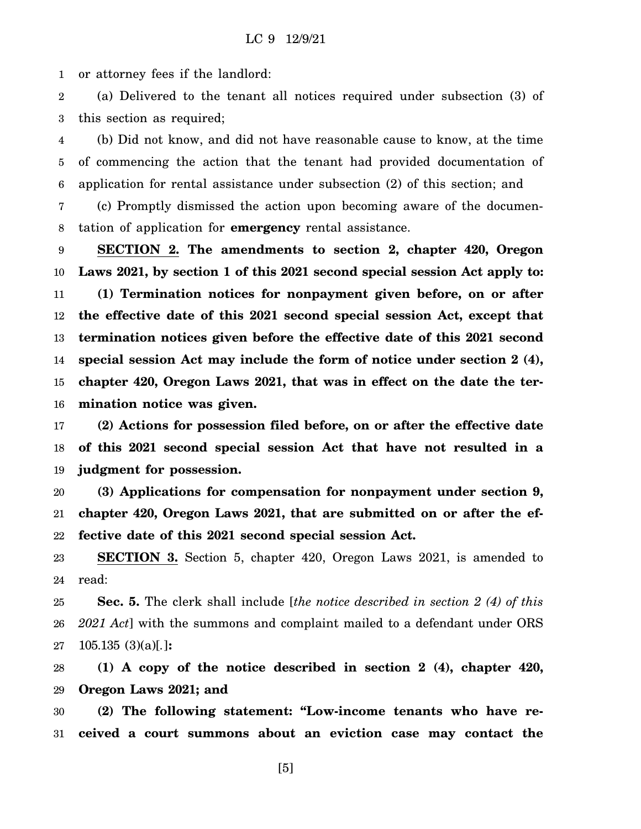1 or attorney fees if the landlord:

2 3 (a) Delivered to the tenant all notices required under subsection (3) of this section as required;

4 5 6 (b) Did not know, and did not have reasonable cause to know, at the time of commencing the action that the tenant had provided documentation of application for rental assistance under subsection (2) of this section; and

7 8 (c) Promptly dismissed the action upon becoming aware of the documentation of application for **emergency** rental assistance.

9 10 11 12 13 14 15 16 **SECTION 2. The amendments to section 2, chapter 420, Oregon Laws 2021, by section 1 of this 2021 second special session Act apply to: (1) Termination notices for nonpayment given before, on or after the effective date of this 2021 second special session Act, except that termination notices given before the effective date of this 2021 second special session Act may include the form of notice under section 2 (4), chapter 420, Oregon Laws 2021, that was in effect on the date the termination notice was given.**

17 18 19 **(2) Actions for possession filed before, on or after the effective date of this 2021 second special session Act that have not resulted in a judgment for possession.**

20 21 22 **(3) Applications for compensation for nonpayment under section 9, chapter 420, Oregon Laws 2021, that are submitted on or after the effective date of this 2021 second special session Act.**

23 24 **SECTION 3.** Section 5, chapter 420, Oregon Laws 2021, is amended to read:

25 26 27 **Sec. 5.** The clerk shall include [*the notice described in section 2 (4) of this 2021 Act*] with the summons and complaint mailed to a defendant under ORS 105.135 (3)(a)[*.*]**:**

28 29 **(1) A copy of the notice described in section 2 (4), chapter 420, Oregon Laws 2021; and**

30 31 **(2) The following statement: "Low-income tenants who have received a court summons about an eviction case may contact the**

[5]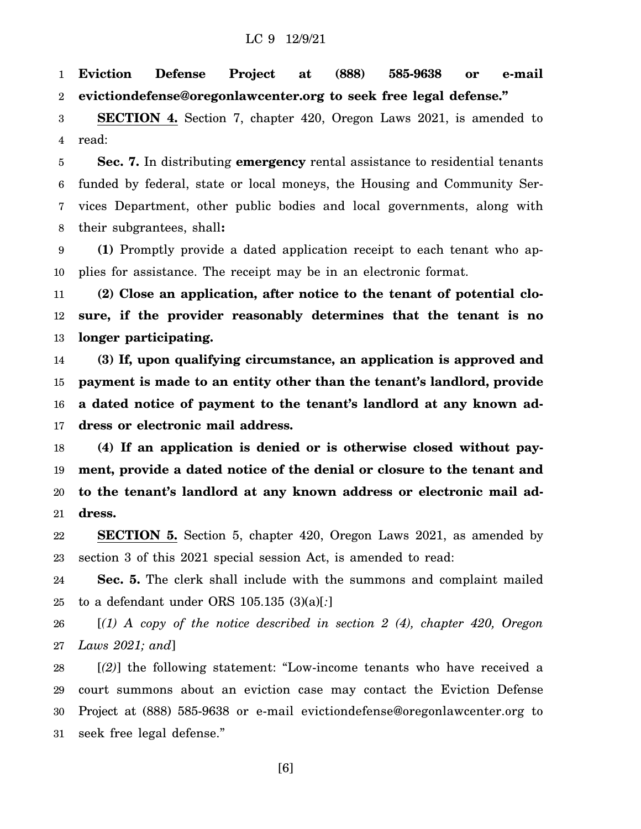1 2 **Eviction Defense Project at (888) 585-9638 or e-mail evictiondefense@oregonlawcenter.org to seek free legal defense."**

3 4 **SECTION 4.** Section 7, chapter 420, Oregon Laws 2021, is amended to read:

5 6 7 8 **Sec. 7.** In distributing **emergency** rental assistance to residential tenants funded by federal, state or local moneys, the Housing and Community Services Department, other public bodies and local governments, along with their subgrantees, shall**:**

9 10 **(1)** Promptly provide a dated application receipt to each tenant who applies for assistance. The receipt may be in an electronic format.

11 12 13 **(2) Close an application, after notice to the tenant of potential closure, if the provider reasonably determines that the tenant is no longer participating.**

14 15 16 17 **(3) If, upon qualifying circumstance, an application is approved and payment is made to an entity other than the tenant's landlord, provide a dated notice of payment to the tenant's landlord at any known address or electronic mail address.**

18 19 20 21 **(4) If an application is denied or is otherwise closed without payment, provide a dated notice of the denial or closure to the tenant and to the tenant's landlord at any known address or electronic mail address.**

22 23 **SECTION 5.** Section 5, chapter 420, Oregon Laws 2021, as amended by section 3 of this 2021 special session Act, is amended to read:

24 25 **Sec. 5.** The clerk shall include with the summons and complaint mailed to a defendant under ORS 105.135 (3)(a)[*:*]

26 27 [*(1) A copy of the notice described in section 2 (4), chapter 420, Oregon Laws 2021; and*]

28 29 30 31 [*(2)*] the following statement: "Low-income tenants who have received a court summons about an eviction case may contact the Eviction Defense Project at (888) 585-9638 or e-mail evictiondefense@oregonlawcenter.org to seek free legal defense."

[6]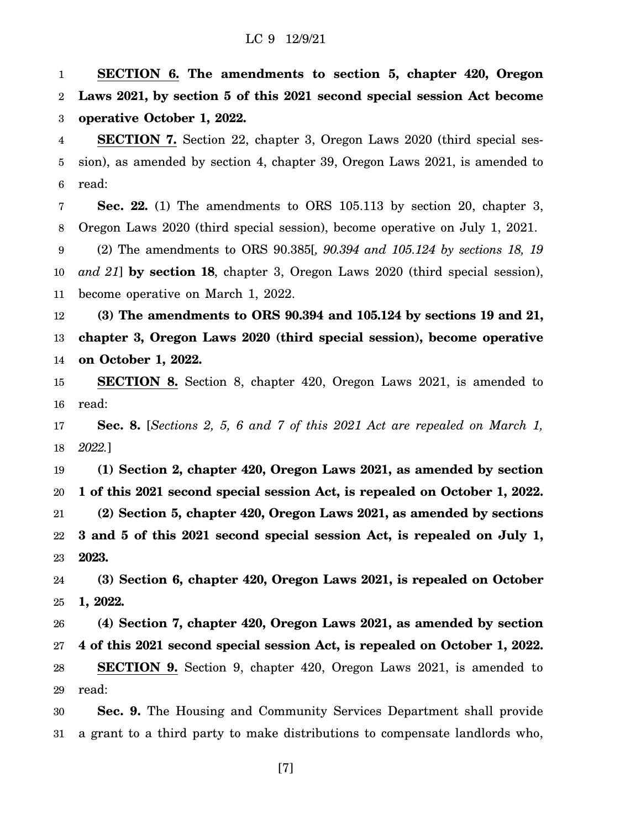1 2 3 **SECTION 6. The amendments to section 5, chapter 420, Oregon Laws 2021, by section 5 of this 2021 second special session Act become operative October 1, 2022.**

4 5 6 **SECTION 7.** Section 22, chapter 3, Oregon Laws 2020 (third special session), as amended by section 4, chapter 39, Oregon Laws 2021, is amended to read:

7 8 9 10 **Sec. 22.** (1) The amendments to ORS 105.113 by section 20, chapter 3, Oregon Laws 2020 (third special session), become operative on July 1, 2021. (2) The amendments to ORS 90.385[*, 90.394 and 105.124 by sections 18, 19 and 21*] **by section 18**, chapter 3, Oregon Laws 2020 (third special session),

11 become operative on March 1, 2022.

12 13 14 **(3) The amendments to ORS 90.394 and 105.124 by sections 19 and 21, chapter 3, Oregon Laws 2020 (third special session), become operative on October 1, 2022.**

15 16 **SECTION 8.** Section 8, chapter 420, Oregon Laws 2021, is amended to read:

17 18 **Sec. 8.** [*Sections 2, 5, 6 and 7 of this 2021 Act are repealed on March 1, 2022.*]

19 20 21 22 23 **(1) Section 2, chapter 420, Oregon Laws 2021, as amended by section 1 of this 2021 second special session Act, is repealed on October 1, 2022. (2) Section 5, chapter 420, Oregon Laws 2021, as amended by sections 3 and 5 of this 2021 second special session Act, is repealed on July 1, 2023.**

24 25 **(3) Section 6, chapter 420, Oregon Laws 2021, is repealed on October 1, 2022.**

26 27 28 29 **(4) Section 7, chapter 420, Oregon Laws 2021, as amended by section 4 of this 2021 second special session Act, is repealed on October 1, 2022. SECTION 9.** Section 9, chapter 420, Oregon Laws 2021, is amended to read:

30 31 **Sec. 9.** The Housing and Community Services Department shall provide a grant to a third party to make distributions to compensate landlords who,

[7]